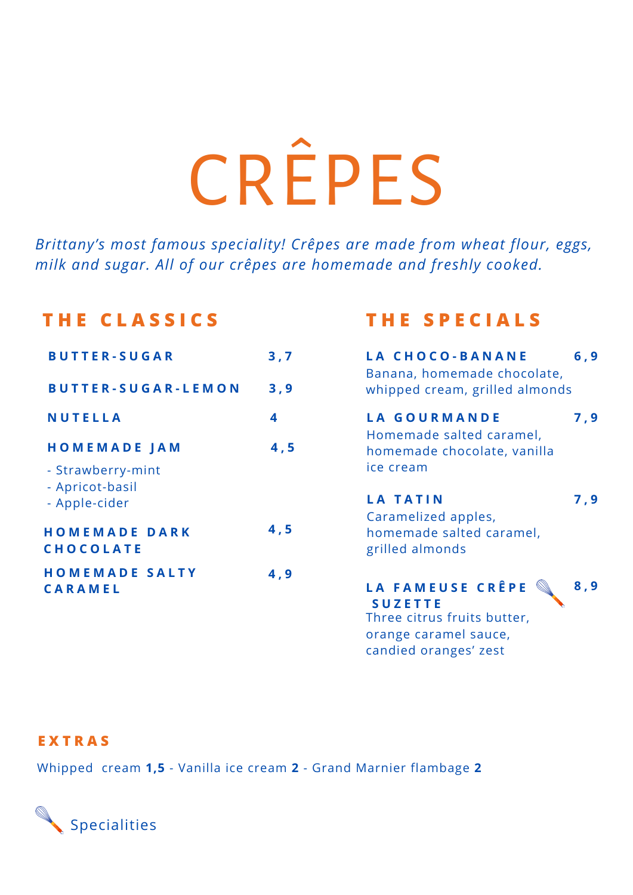# CRÊPES

*Brittany's most famous speciality! Crêpes are made from wheat flour, eggs, milk and sugar. All of our crêpes are homemade and freshly cooked.*

### **T H E C L A S S I C S T H E S P E C I A L S**

| <b>BUTTER-SUGAR</b>                      | 3,7  | LA CHOCO-BANANE<br>Banana, homemade chocolate,          | 6, 9 |
|------------------------------------------|------|---------------------------------------------------------|------|
| <b>BUTTER-SUGAR-LEMON</b>                | 3,9  | whipped cream, grilled almonds                          |      |
| <b>NUTELLA</b>                           | 4    | <b>LA GOURMANDE</b>                                     | 7,9  |
| <b>HOMEMADE JAM</b>                      | 4, 5 | Homemade salted caramel,<br>homemade chocolate, vanilla |      |
| - Strawberry-mint<br>- Apricot-basil     |      | ice cream                                               |      |
| - Apple-cider                            |      | <b>LA TATIN</b><br>Caramelized apples,                  | 7,9  |
| <b>HOMEMADE DARK</b><br><b>CHOCOLATE</b> | 4, 5 | homemade salted caramel,<br>grilled almonds             |      |
| <b>HOMEMADE SALTY</b><br>CARAMEL         | 4,9  | LA FAMEUSE CRÊPE                                        | 8,9  |

| LA CHOCO-BANANE<br>Banana, homemade chocolate,<br>whipped cream, grilled almonds                                                                                                                                                                                                                                                                                                                                                                                           | 6,9 |
|----------------------------------------------------------------------------------------------------------------------------------------------------------------------------------------------------------------------------------------------------------------------------------------------------------------------------------------------------------------------------------------------------------------------------------------------------------------------------|-----|
| LA GOURMANDE<br>Homemade salted caramel,<br>homemade chocolate, vanilla<br>ice cream                                                                                                                                                                                                                                                                                                                                                                                       | 7,9 |
| <b>LA TATIN</b><br>Caramelized apples,<br>homemade salted caramel,<br>grilled almonds                                                                                                                                                                                                                                                                                                                                                                                      | 7,9 |
| $\begin{picture}(40,40) \put(0,0){\line(1,0){10}} \put(10,0){\line(1,0){10}} \put(10,0){\line(1,0){10}} \put(10,0){\line(1,0){10}} \put(10,0){\line(1,0){10}} \put(10,0){\line(1,0){10}} \put(10,0){\line(1,0){10}} \put(10,0){\line(1,0){10}} \put(10,0){\line(1,0){10}} \put(10,0){\line(1,0){10}} \put(10,0){\line(1,0){10}} \put(10,0){\line(1$<br>LA FAMEUSE CRÊPE<br><b>SUZETTE</b><br>Three citrus fruits butter,<br>orange caramel sauce,<br>candied oranges' zest | 8,9 |

#### **E X T R A S**

Whipped cream **1,5** - Vanilla ice cream **2** - Grand Marnier flambage **2**

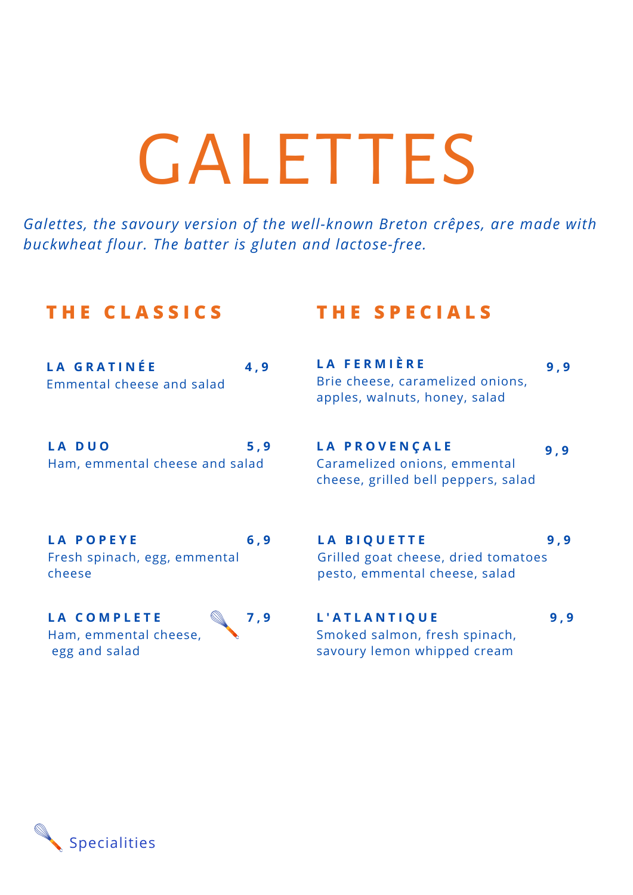## GALETTES

*Galettes, the savoury version of the well-known Breton crêpes, are made with buckwheat flour. The batter is gluten and lactose-free.*

#### **T H E C L A S S I C S T H E S P E C I A L S**

| LA GRATINÉE                    | 4,9 |
|--------------------------------|-----|
| Emmental cheese and salad      |     |
|                                |     |
|                                |     |
| LA DUO                         | 5,9 |
| Ham, emmental cheese and salad |     |
|                                |     |

| <b>LA POPEYE</b>             | 6.9 |
|------------------------------|-----|
| Fresh spinach, egg, emmental |     |
| cheese                       |     |

**L A C O M P L E T E** Ham, emmental cheese, egg and salad



### **L A P R O V E N Ç A L E**

**L A F E R M I È R E**

**9 , 9**

**9 , 9**

Caramelized onions, emmental cheese, grilled bell peppers, salad

Brie cheese, caramelized onions, apples, walnuts, honey, salad

**L A B I Q U E T T E** Grilled goat cheese, dried tomatoes pesto, emmental cheese, salad **9 , 9**

#### **L ' A T L A N T I Q U E** Smoked salmon, fresh spinach, savoury lemon whipped cream

**9 , 9**

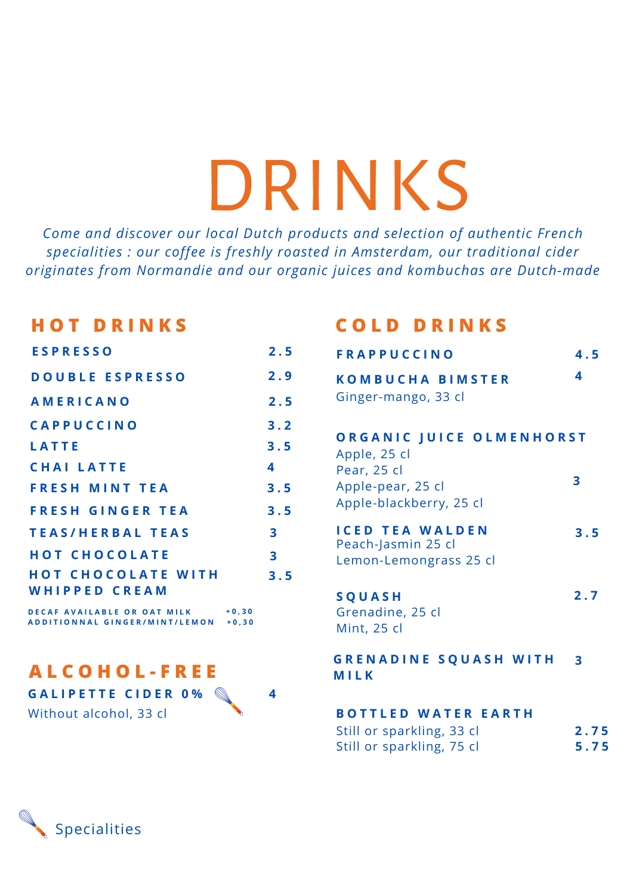## DRINKS

*Come and discover our local Dutch products and selection of authentic French specialities : our coffee is freshly roasted in Amsterdam, our traditional cider originates from Normandie and our organic juices and kombuchas are Dutch-made*

#### **H O T D R I N K S**

| <b>ESPRESSO</b>           | 2.5                     | <b>FRAPPU</b>           |
|---------------------------|-------------------------|-------------------------|
| <b>DOUBLE ESPRESSO</b>    | 2.9                     | <b>KOMBUC</b>           |
| <b>AMERICANO</b>          | 2.5                     | Ginger-ma               |
| <b>CAPPUCCINO</b>         | 3.2                     |                         |
| <b>LATTE</b>              | 3.5                     | ORGANI<br>Apple, 25 d   |
| <b>CHAI LATTE</b>         | 4                       | Pear, 25 cl             |
| <b>FRESH MINT TEA</b>     | 3.5                     | Apple-pear              |
| <b>FRESH GINGER TEA</b>   | 3.5                     | Apple-blac              |
| <b>TEAS/HERBAL TEAS</b>   | $\overline{\mathbf{3}}$ | <b>ICED TEA</b>         |
| <b>HOT CHOCOLATE</b>      | 3                       | Peach-Jasn<br>Lemon-Ler |
| <b>HOT CHOCOLATE WITH</b> | 3.5                     |                         |
| WHIPPED CREAM             |                         | SQUASH                  |
|                           |                         |                         |

**D E C A F A V A I L A B L E O R O A T M I LK** ADDITIONNAL GINGER/MINT/LEMON +0.30 **+ 0 , 3 0**

**A L C O H O L - F R E E**

**G A L I P E T T E C I D E R 0 %**

Without alcohol, 33 cl

**4**

### **C O L D D R I N K S**

| 2.5             | <b>FRAPPUCCINO</b>                                                     | 4.5                     |
|-----------------|------------------------------------------------------------------------|-------------------------|
| 2.9             | <b>KOMBUCHA BIMSTER</b>                                                | 4                       |
| 2.5             | Ginger-mango, 33 cl                                                    |                         |
| 3.2<br>3.5<br>4 | ORGANIC JUICE OLMENHORST<br>Apple, 25 cl                               |                         |
| 3.5<br>3.5      | Pear, 25 cl<br>Apple-pear, 25 cl<br>Apple-blackberry, 25 cl            | 3                       |
| 3<br>3<br>3.5   | <b>ICED TEA WALDEN</b><br>Peach-Jasmin 25 cl<br>Lemon-Lemongrass 25 cl | 3.5                     |
|                 | SQUASH<br>Grenadine, 25 cl<br><b>Mint, 25 cl</b>                       | 2.7                     |
|                 | <b>GRENADINE SQUASH WITH</b><br>MILK                                   | $\overline{\mathbf{3}}$ |
| 4               | <b>BOTTLED WATER EARTH</b><br>Still or sparkling, 33 cl                | 2.75                    |

|  | Still or sparkling, 33 cl |  | 2.75 |  |
|--|---------------------------|--|------|--|
|  | Still or sparkling, 75 cl |  | 5.75 |  |